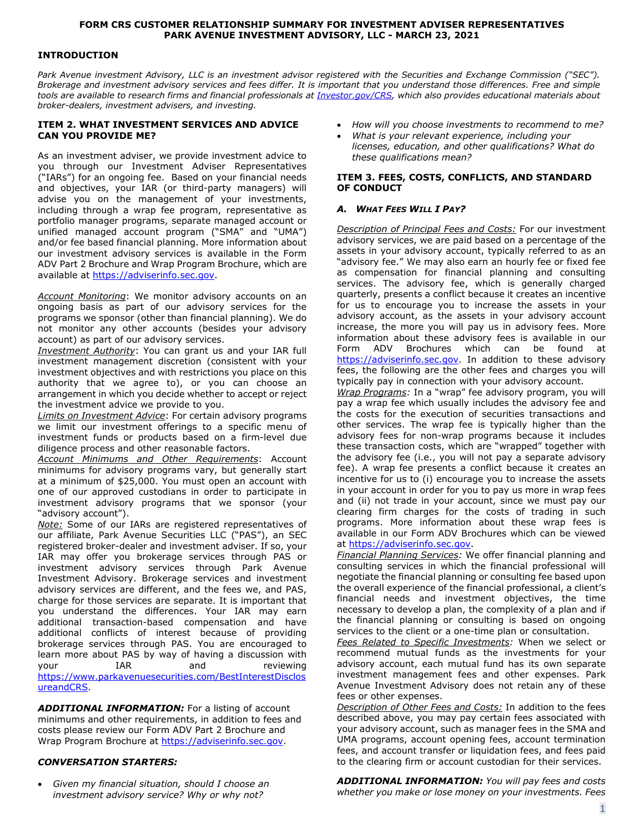### **FORM CRS CUSTOMER RELATIONSHIP SUMMARY FOR INVESTMENT ADVISER REPRESENTATIVES PARK AVENUE INVESTMENT ADVISORY, LLC - MARCH 23, 2021**

### **INTRODUCTION**

*Park Avenue investment Advisory, LLC is an investment advisor registered with the Securities and Exchange Commission ("SEC"). Brokerage and investment advisory services and fees differ. It is important that you understand those differences. Free and simple tools are available to research firms and financial professionals at [Investor.gov/CRS,](https://www.investor.gov/CRS) which also provides educational materials about broker-dealers, investment advisers, and investing.*

#### **ITEM 2. WHAT INVESTMENT SERVICES AND ADVICE CAN YOU PROVIDE ME?**

As an investment adviser, we provide investment advice to you through our Investment Adviser Representatives ("IARs") for an ongoing fee. Based on your financial needs and objectives, your IAR (or third-party managers) will advise you on the management of your investments, including through a wrap fee program, representative as portfolio manager programs, separate managed account or unified managed account program ("SMA" and "UMA") and/or fee based financial planning. More information about our investment advisory services is available in the Form ADV Part 2 Brochure and Wrap Program Brochure, which are available at [https://adviserinfo.sec.gov.](https://adviserinfo.sec.gov/)

*Account Monitoring*: We monitor advisory accounts on an ongoing basis as part of our advisory services for the programs we sponsor (other than financial planning). We do not monitor any other accounts (besides your advisory account) as part of our advisory services.

*Investment Authority*: You can grant us and your IAR full investment management discretion (consistent with your investment objectives and with restrictions you place on this authority that we agree to), or you can choose an arrangement in which you decide whether to accept or reject the investment advice we provide to you.

*Limits on Investment Advice*: For certain advisory programs we limit our investment offerings to a specific menu of investment funds or products based on a firm-level due diligence process and other reasonable factors.

*Account Minimums and Other Requirements*: Account minimums for advisory programs vary, but generally start at a minimum of \$25,000. You must open an account with one of our approved custodians in order to participate in investment advisory programs that we sponsor (your "advisory account").

*Note:* Some of our IARs are registered representatives of our affiliate, Park Avenue Securities LLC ("PAS"), an SEC registered broker-dealer and investment adviser. If so, your IAR may offer you brokerage services through PAS or investment advisory services through Park Avenue Investment Advisory. Brokerage services and investment advisory services are different, and the fees we, and PAS, charge for those services are separate. It is important that you understand the differences. Your IAR may earn additional transaction-based compensation and have additional conflicts of interest because of providing brokerage services through PAS. You are encouraged to learn more about PAS by way of having a discussion with your IAR and reviewing https://www.parkavenuesecurities.com/BestInterestDisclos ureandCRS.

**ADDITIONAL INFORMATION:** For a listing of account minimums and other requirements, in addition to fees and costs please review our Form ADV Part 2 Brochure and Wrap Program Brochure at [https://adviserinfo.sec.gov.](https://adviserinfo.sec.gov/)

# *CONVERSATION STARTERS:*

• *Given my financial situation, should I choose an investment advisory service? Why or why not?*

- *How will you choose investments to recommend to me?*
- *What is your relevant experience, including your licenses, education, and other qualifications? What do these qualifications mean?*

### **ITEM 3. FEES, COSTS, CONFLICTS, AND STANDARD OF CONDUCT**

## *A. WHAT FEES WILL I PAY?*

*Description of Principal Fees and Costs:* For our investment advisory services, we are paid based on a percentage of the assets in your advisory account, typically referred to as an "advisory fee." We may also earn an hourly fee or fixed fee as compensation for financial planning and consulting services. The advisory fee, which is generally charged quarterly, presents a conflict because it creates an incentive for us to encourage you to increase the assets in your advisory account, as the assets in your advisory account increase, the more you will pay us in advisory fees. More information about these advisory fees is available in our Form ADV Brochures which can be found at [https://adviserinfo.sec.gov.](https://adviserinfo.sec.gov/) In addition to these advisory fees, the following are the other fees and charges you will typically pay in connection with your advisory account.

*Wrap Programs:* In a "wrap" fee advisory program, you will pay a wrap fee which usually includes the advisory fee and the costs for the execution of securities transactions and other services. The wrap fee is typically higher than the advisory fees for non-wrap programs because it includes these transaction costs, which are "wrapped" together with the advisory fee (i.e., you will not pay a separate advisory fee). A wrap fee presents a conflict because it creates an incentive for us to (i) encourage you to increase the assets in your account in order for you to pay us more in wrap fees and (ii) not trade in your account, since we must pay our clearing firm charges for the costs of trading in such programs. More information about these wrap fees is available in our Form ADV Brochures which can be viewed at [https://adviserinfo.sec.gov.](https://adviserinfo.sec.gov/)

*Financial Planning Services:* We offer financial planning and consulting services in which the financial professional will negotiate the financial planning or consulting fee based upon the overall experience of the financial professional, a client's financial needs and investment objectives, the time necessary to develop a plan, the complexity of a plan and if the financial planning or consulting is based on ongoing services to the client or a one-time plan or consultation.

*Fees Related to Specific Investments:* When we select or recommend mutual funds as the investments for your advisory account, each mutual fund has its own separate investment management fees and other expenses. Park Avenue Investment Advisory does not retain any of these fees or other expenses.

*Description of Other Fees and Costs:* In addition to the fees described above, you may pay certain fees associated with your advisory account, such as manager fees in the SMA and UMA programs, account opening fees, account termination fees, and account transfer or liquidation fees, and fees paid to the clearing firm or account custodian for their services.

*ADDITIONAL INFORMATION: You will pay fees and costs whether you make or lose money on your investments. Fees*